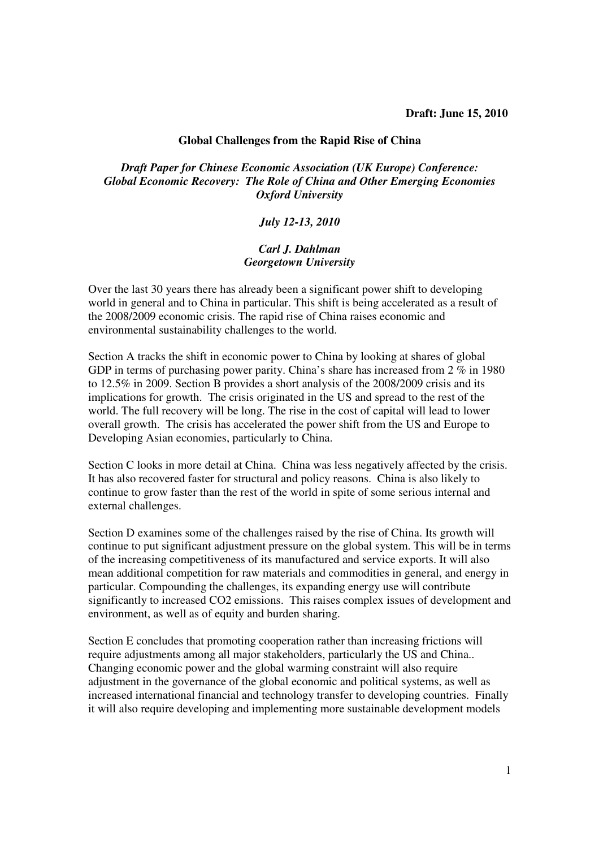#### **Global Challenges from the Rapid Rise of China**

## *Draft Paper for Chinese Economic Association (UK Europe) Conference: Global Economic Recovery: The Role of China and Other Emerging Economies Oxford University*

## *July 12-13, 2010*

#### *Carl J. Dahlman Georgetown University*

Over the last 30 years there has already been a significant power shift to developing world in general and to China in particular. This shift is being accelerated as a result of the 2008/2009 economic crisis. The rapid rise of China raises economic and environmental sustainability challenges to the world.

Section A tracks the shift in economic power to China by looking at shares of global GDP in terms of purchasing power parity. China's share has increased from 2 % in 1980 to 12.5% in 2009. Section B provides a short analysis of the 2008/2009 crisis and its implications for growth. The crisis originated in the US and spread to the rest of the world. The full recovery will be long. The rise in the cost of capital will lead to lower overall growth. The crisis has accelerated the power shift from the US and Europe to Developing Asian economies, particularly to China.

Section C looks in more detail at China. China was less negatively affected by the crisis. It has also recovered faster for structural and policy reasons. China is also likely to continue to grow faster than the rest of the world in spite of some serious internal and external challenges.

Section D examines some of the challenges raised by the rise of China. Its growth will continue to put significant adjustment pressure on the global system. This will be in terms of the increasing competitiveness of its manufactured and service exports. It will also mean additional competition for raw materials and commodities in general, and energy in particular. Compounding the challenges, its expanding energy use will contribute significantly to increased CO2 emissions. This raises complex issues of development and environment, as well as of equity and burden sharing.

Section E concludes that promoting cooperation rather than increasing frictions will require adjustments among all major stakeholders, particularly the US and China.. Changing economic power and the global warming constraint will also require adjustment in the governance of the global economic and political systems, as well as increased international financial and technology transfer to developing countries. Finally it will also require developing and implementing more sustainable development models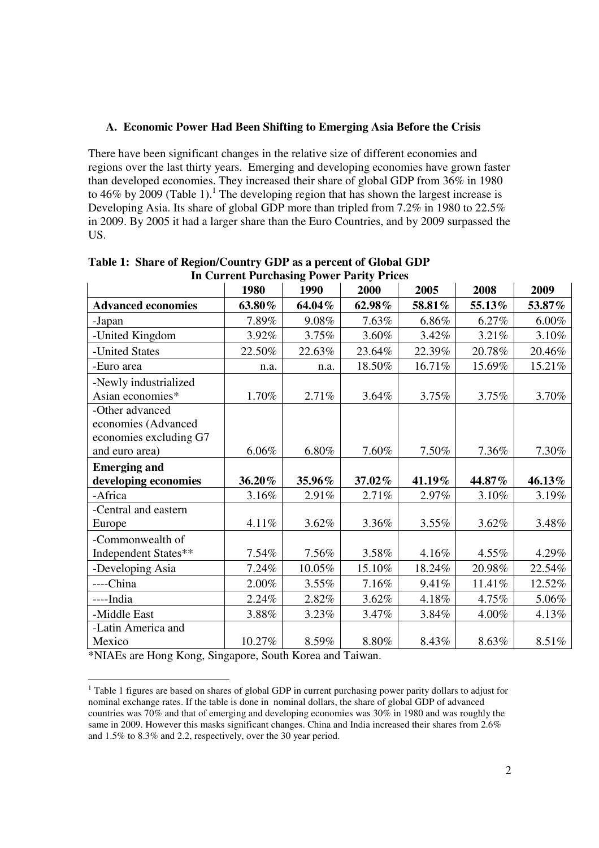#### **A. Economic Power Had Been Shifting to Emerging Asia Before the Crisis**

There have been significant changes in the relative size of different economies and regions over the last thirty years. Emerging and developing economies have grown faster than developed economies. They increased their share of global GDP from 36% in 1980 to 46% by 2009 (Table 1).<sup>1</sup> The developing region that has shown the largest increase is Developing Asia. Its share of global GDP more than tripled from 7.2% in 1980 to 22.5% in 2009. By 2005 it had a larger share than the Euro Countries, and by 2009 surpassed the US.

|                                                                                    | 1980     | 1990     | 2000     | 2005   | 2008   | 2009     |
|------------------------------------------------------------------------------------|----------|----------|----------|--------|--------|----------|
| <b>Advanced economies</b>                                                          | 63.80%   | 64.04%   | 62.98%   | 58.81% | 55.13% | 53.87%   |
| -Japan                                                                             | 7.89%    | 9.08%    | 7.63%    | 6.86%  | 6.27%  | $6.00\%$ |
| -United Kingdom                                                                    | 3.92%    | 3.75%    | 3.60%    | 3.42%  | 3.21%  | 3.10%    |
| -United States                                                                     | 22.50%   | 22.63%   | 23.64%   | 22.39% | 20.78% | 20.46%   |
| -Euro area                                                                         | n.a.     | n.a.     | 18.50%   | 16.71% | 15.69% | 15.21%   |
| -Newly industrialized<br>Asian economies*                                          | 1.70%    | 2.71%    | 3.64%    | 3.75%  | 3.75%  | 3.70%    |
| -Other advanced<br>economies (Advanced<br>economies excluding G7<br>and euro area) | 6.06%    | 6.80%    | 7.60%    | 7.50%  | 7.36%  | 7.30%    |
| <b>Emerging and</b>                                                                |          |          |          |        |        |          |
| developing economies                                                               | 36.20%   | 35.96%   | 37.02%   | 41.19% | 44.87% | 46.13%   |
| -Africa                                                                            | 3.16%    | 2.91%    | 2.71%    | 2.97%  | 3.10%  | 3.19%    |
| -Central and eastern<br>Europe                                                     | 4.11%    | 3.62%    | 3.36%    | 3.55%  | 3.62%  | 3.48%    |
| -Commonwealth of                                                                   |          |          |          |        |        |          |
| Independent States**                                                               | $7.54\%$ | 7.56%    | 3.58%    | 4.16%  | 4.55%  | 4.29%    |
| -Developing Asia                                                                   | 7.24%    | 10.05%   | 15.10%   | 18.24% | 20.98% | 22.54%   |
| ----China                                                                          | 2.00%    | $3.55\%$ | 7.16%    | 9.41%  | 11.41% | 12.52%   |
| ----India                                                                          | 2.24%    | 2.82%    | $3.62\%$ | 4.18%  | 4.75%  | 5.06%    |
| -Middle East                                                                       | 3.88%    | 3.23%    | 3.47%    | 3.84%  | 4.00%  | 4.13%    |
| -Latin America and                                                                 |          | 8.59%    | 8.80%    | 8.43%  |        |          |
| Mexico                                                                             | 10.27%   |          |          |        | 8.63%  | 8.51%    |

**Table 1: Share of Region/Country GDP as a percent of Global GDP In Current Purchasing Power Parity Prices**

\*NIAEs are Hong Kong, Singapore, South Korea and Taiwan.

Table 1 figures are based on shares of global GDP in current purchasing power parity dollars to adjust for <sup>1</sup> nominal exchange rates. If the table is done in nominal dollars, the share of global GDP of advanced countries was 70% and that of emerging and developing economies was 30% in 1980 and was roughly the same in 2009. However this masks significant changes. China and India increased their shares from 2.6% and 1.5% to 8.3% and 2.2, respectively, over the 30 year period.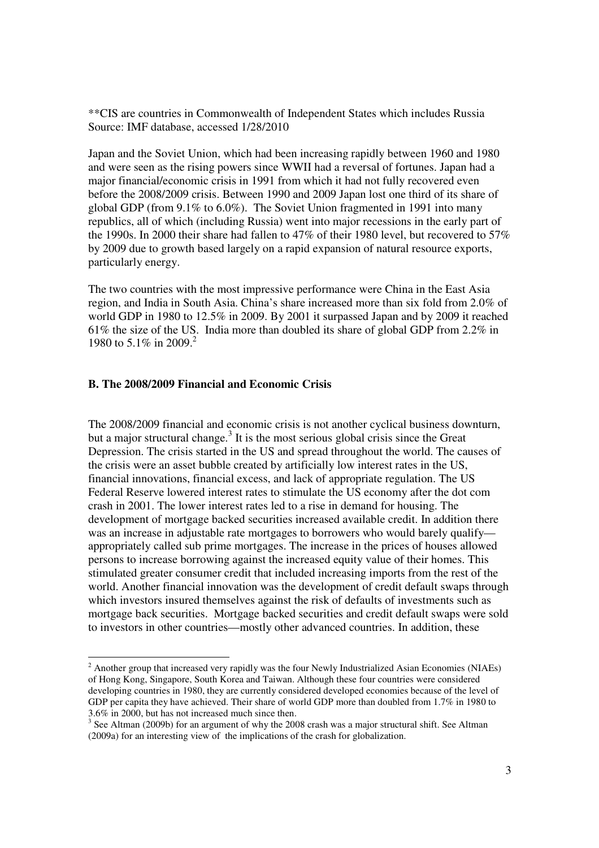\*\*CIS are countries in Commonwealth of Independent States which includes Russia Source: IMF database, accessed 1/28/2010

Japan and the Soviet Union, which had been increasing rapidly between 1960 and 1980 and were seen as the rising powers since WWII had a reversal of fortunes. Japan had a major financial/economic crisis in 1991 from which it had not fully recovered even before the 2008/2009 crisis. Between 1990 and 2009 Japan lost one third of its share of global GDP (from 9.1% to 6.0%). The Soviet Union fragmented in 1991 into many republics, all of which (including Russia) went into major recessions in the early part of the 1990s. In 2000 their share had fallen to 47% of their 1980 level, but recovered to 57% by 2009 due to growth based largely on a rapid expansion of natural resource exports, particularly energy.

The two countries with the most impressive performance were China in the East Asia region, and India in South Asia. China's share increased more than six fold from 2.0% of world GDP in 1980 to 12.5% in 2009. By 2001 it surpassed Japan and by 2009 it reached 61% the size of the US. India more than doubled its share of global GDP from 2.2% in 1980 to 5.1% in 2009.<sup>2</sup>

#### **B. The 2008/2009 Financial and Economic Crisis**

The 2008/2009 financial and economic crisis is not another cyclical business downturn, but a major structural change.<sup>3</sup> It is the most serious global crisis since the Great Depression. The crisis started in the US and spread throughout the world. The causes of the crisis were an asset bubble created by artificially low interest rates in the US, financial innovations, financial excess, and lack of appropriate regulation. The US Federal Reserve lowered interest rates to stimulate the US economy after the dot com crash in 2001. The lower interest rates led to a rise in demand for housing. The development of mortgage backed securities increased available credit. In addition there was an increase in adjustable rate mortgages to borrowers who would barely qualify appropriately called sub prime mortgages. The increase in the prices of houses allowed persons to increase borrowing against the increased equity value of their homes. This stimulated greater consumer credit that included increasing imports from the rest of the world. Another financial innovation was the development of credit default swaps through which investors insured themselves against the risk of defaults of investments such as mortgage back securities. Mortgage backed securities and credit default swaps were sold to investors in other countries—mostly other advanced countries. In addition, these

<sup>&</sup>lt;sup>2</sup> Another group that increased very rapidly was the four Newly Industrialized Asian Economies (NIAEs) of Hong Kong, Singapore, South Korea and Taiwan. Although these four countries were considered developing countries in 1980, they are currently considered developed economies because of the level of GDP per capita they have achieved. Their share of world GDP more than doubled from 1.7% in 1980 to 3.6% in 2000, but has not increased much since then.

 $3$  See Altman (2009b) for an argument of why the 2008 crash was a major structural shift. See Altman (2009a) for an interesting view of the implications of the crash for globalization.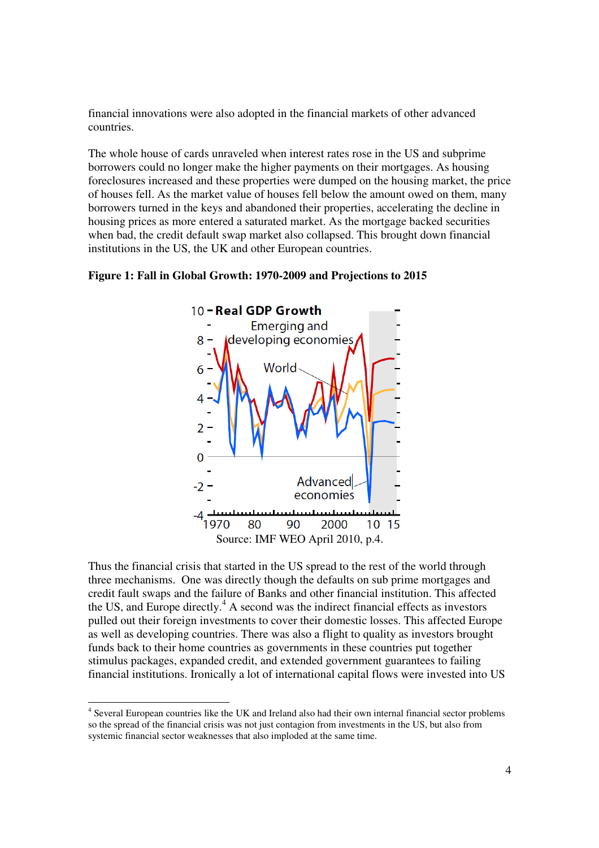financial innovations were also adopted in the financial markets of other advanced countries.

The whole house of cards unraveled when interest rates rose in the US and subprime borrowers could no longer make the higher payments on their mortgages. As housing foreclosures increased and these properties were dumped on the housing market, the price of houses fell. As the market value of houses fell below the amount owed on them, many borrowers turned in the keys and abandoned their properties, accelerating the decline in housing prices as more entered a saturated market. As the mortgage backed securities when bad, the credit default swap market also collapsed. This brought down financial institutions in the US, the UK and other European countries.



#### **Figure 1: Fall in Global Growth: 1970-2009 and Projections to 2015**

Thus the financial crisis that started in the US spread to the rest of the world through three mechanisms. One was directly though the defaults on sub prime mortgages and credit fault swaps and the failure of Banks and other financial institution. This affected the US, and Europe directly. $4$  A second was the indirect financial effects as investors pulled out their foreign investments to cover their domestic losses. This affected Europe as well as developing countries. There was also a flight to quality as investors brought funds back to their home countries as governments in these countries put together stimulus packages, expanded credit, and extended government guarantees to failing financial institutions. Ironically a lot of international capital flows were invested into US

<sup>&</sup>lt;sup>4</sup> Several European countries like the UK and Ireland also had their own internal financial sector problems so the spread of the financial crisis was not just contagion from investments in the US, but also from systemic financial sector weaknesses that also imploded at the same time.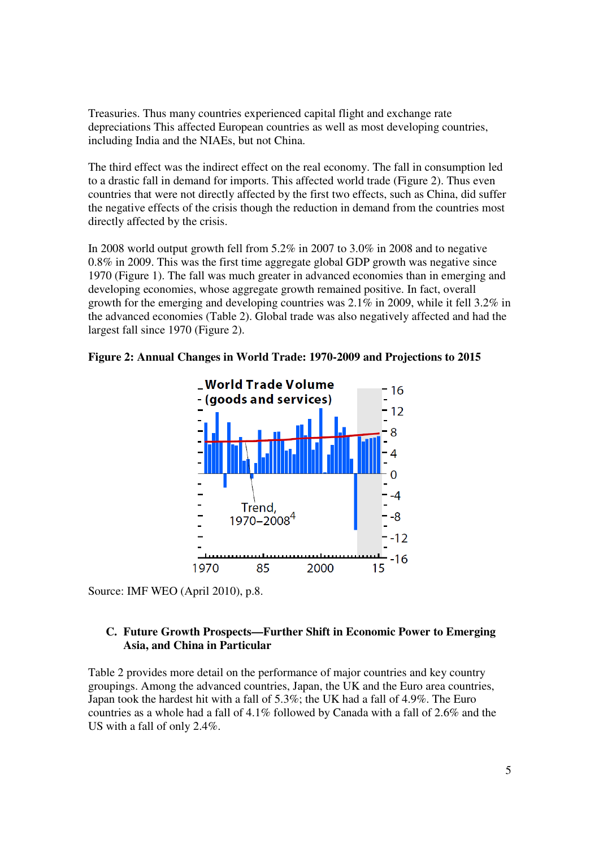Treasuries. Thus many countries experienced capital flight and exchange rate depreciations This affected European countries as well as most developing countries, including India and the NIAEs, but not China.

The third effect was the indirect effect on the real economy. The fall in consumption led to a drastic fall in demand for imports. This affected world trade (Figure 2). Thus even countries that were not directly affected by the first two effects, such as China, did suffer the negative effects of the crisis though the reduction in demand from the countries most directly affected by the crisis.

In 2008 world output growth fell from 5.2% in 2007 to 3.0% in 2008 and to negative 0.8% in 2009. This was the first time aggregate global GDP growth was negative since 1970 (Figure 1). The fall was much greater in advanced economies than in emerging and developing economies, whose aggregate growth remained positive. In fact, overall growth for the emerging and developing countries was 2.1% in 2009, while it fell 3.2% in the advanced economies (Table 2). Global trade was also negatively affected and had the largest fall since 1970 (Figure 2).

**Figure 2: Annual Changes in World Trade: 1970-2009 and Projections to 2015** 



Source: IMF WEO (April 2010), p.8.

#### **C. Future Growth Prospects—Further Shift in Economic Power to Emerging Asia, and China in Particular**

Table 2 provides more detail on the performance of major countries and key country groupings. Among the advanced countries, Japan, the UK and the Euro area countries, Japan took the hardest hit with a fall of 5.3%; the UK had a fall of 4.9%. The Euro countries as a whole had a fall of 4.1% followed by Canada with a fall of 2.6% and the US with a fall of only 2.4%.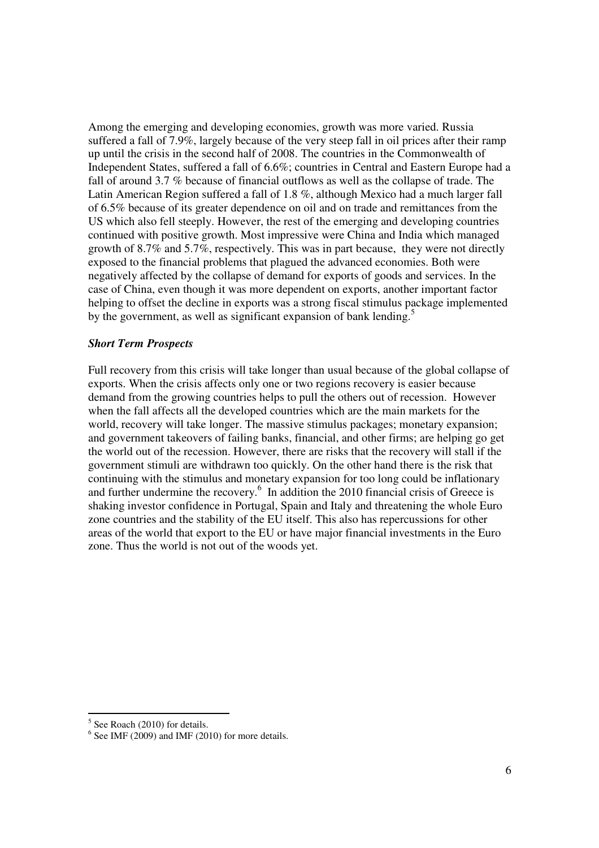Among the emerging and developing economies, growth was more varied. Russia suffered a fall of 7.9%, largely because of the very steep fall in oil prices after their ramp up until the crisis in the second half of 2008. The countries in the Commonwealth of Independent States, suffered a fall of 6.6%; countries in Central and Eastern Europe had a fall of around 3.7 % because of financial outflows as well as the collapse of trade. The Latin American Region suffered a fall of 1.8 %, although Mexico had a much larger fall of 6.5% because of its greater dependence on oil and on trade and remittances from the US which also fell steeply. However, the rest of the emerging and developing countries continued with positive growth. Most impressive were China and India which managed growth of 8.7% and 5.7%, respectively. This was in part because, they were not directly exposed to the financial problems that plagued the advanced economies. Both were negatively affected by the collapse of demand for exports of goods and services. In the case of China, even though it was more dependent on exports, another important factor helping to offset the decline in exports was a strong fiscal stimulus package implemented by the government, as well as significant expansion of bank lending.<sup>5</sup>

#### *Short Term Prospects*

Full recovery from this crisis will take longer than usual because of the global collapse of exports. When the crisis affects only one or two regions recovery is easier because demand from the growing countries helps to pull the others out of recession. However when the fall affects all the developed countries which are the main markets for the world, recovery will take longer. The massive stimulus packages; monetary expansion; and government takeovers of failing banks, financial, and other firms; are helping go get the world out of the recession. However, there are risks that the recovery will stall if the government stimuli are withdrawn too quickly. On the other hand there is the risk that continuing with the stimulus and monetary expansion for too long could be inflationary and further undermine the recovery. $<sup>6</sup>$  In addition the 2010 financial crisis of Greece is</sup> shaking investor confidence in Portugal, Spain and Italy and threatening the whole Euro zone countries and the stability of the EU itself. This also has repercussions for other areas of the world that export to the EU or have major financial investments in the Euro zone. Thus the world is not out of the woods yet.

 $<sup>5</sup>$  See Roach (2010) for details.</sup>

 $6$  See IMF (2009) and IMF (2010) for more details.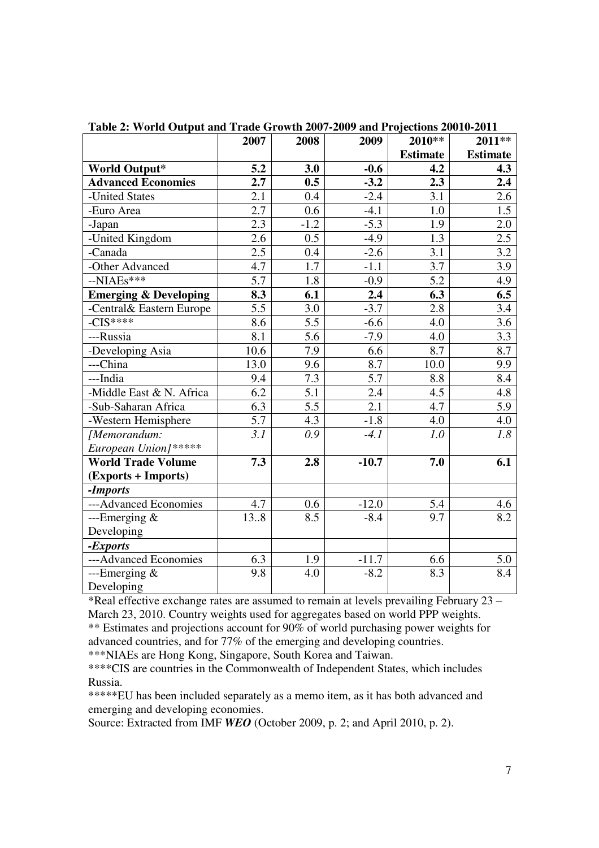|                                  | 2007              | 2008             | 2009    | 2010**          | 2011**          |
|----------------------------------|-------------------|------------------|---------|-----------------|-----------------|
|                                  |                   |                  |         | <b>Estimate</b> | <b>Estimate</b> |
| <b>World Output*</b>             | 5.2               | 3.0              | $-0.6$  | 4.2             | 4.3             |
| <b>Advanced Economies</b>        | 2.7               | 0.5              | $-3.2$  | 2.3             | 2.4             |
| -United States                   | 2.1               | 0.4              | $-2.4$  | 3.1             | 2.6             |
| -Euro Area                       | 2.7               | 0.6              | $-4.1$  | 1.0             | 1.5             |
| -Japan                           | 2.3               | $-1.2$           | $-5.3$  | 1.9             | 2.0             |
| -United Kingdom                  | 2.6               | 0.5              | $-4.9$  | 1.3             | 2.5             |
| -Canada                          | 2.5               | 0.4              | $-2.6$  | 3.1             | 3.2             |
| -Other Advanced                  | 4.7               | 1.7              | $-1.1$  | 3.7             | 3.9             |
| $-NIAEs***$                      | 5.7               | 1.8              | $-0.9$  | 5.2             | 4.9             |
| <b>Emerging &amp; Developing</b> | 8.3               | 6.1              | 2.4     | 6.3             | 6.5             |
| -Central& Eastern Europe         | 5.5               | $\overline{3.0}$ | $-3.7$  | 2.8             | 3.4             |
| $-CIS***$                        | 8.6               | 5.5              | $-6.6$  | 4.0             | 3.6             |
| ---Russia                        | 8.1               | 5.6              | $-7.9$  | 4.0             | 3.3             |
| -Developing Asia                 | 10.6              | 7.9              | 6.6     | 8.7             | 8.7             |
| $--China$                        | 13.0              | 9.6              | 8.7     | 10.0            | 9.9             |
| ---India                         | 9.4               | 7.3              | 5.7     | 8.8             | 8.4             |
| -Middle East & N. Africa         | 6.2               | $\overline{5.1}$ | 2.4     | 4.5             | 4.8             |
| -Sub-Saharan Africa              | 6.3               | 5.5              | 2.1     | 4.7             | 5.9             |
| -Western Hemisphere              | 5.7               | 4.3              | $-1.8$  | 4.0             | 4.0             |
| [Memorandum:                     | 3.1               | 0.9              | $-4.1$  | 1.0             | 1.8             |
| European Union]*****             |                   |                  |         |                 |                 |
| <b>World Trade Volume</b>        | 7.3               | 2.8              | $-10.7$ | 7.0             | 6.1             |
| (Exports + Imports)              |                   |                  |         |                 |                 |
| -Imports                         |                   |                  |         |                 |                 |
| ---Advanced Economies            | 4.7               | 0.6              | $-12.0$ | 5.4             | <u>4.6</u>      |
| $--Emerging \&$                  | $\overline{1}3.8$ | 8.5              | $-8.4$  | 9.7             | 8.2             |
| Developing                       |                   |                  |         |                 |                 |
| - <i>Exports</i>                 |                   |                  |         |                 |                 |
| ---Advanced Economies            | 6.3               | 1.9              | $-11.7$ | 6.6             | 5.0             |
| $--Emerging \&$                  | 9.8               | 4.0              | $-8.2$  | 8.3             | 8.4             |
| Developing                       |                   |                  |         |                 |                 |

**Table 2: World Output and Trade Growth 2007-2009 and Projections 20010-2011** 

\*Real effective exchange rates are assumed to remain at levels prevailing February 23 – March 23, 2010. Country weights used for aggregates based on world PPP weights. \*\* Estimates and projections account for 90% of world purchasing power weights for advanced countries, and for 77% of the emerging and developing countries.

\*\*\*NIAEs are Hong Kong, Singapore, South Korea and Taiwan.

\*\*\*\*CIS are countries in the Commonwealth of Independent States, which includes Russia.

\*\*\*\*\*EU has been included separately as a memo item, as it has both advanced and emerging and developing economies.

Source: Extracted from IMF *WEO* (October 2009, p. 2; and April 2010, p. 2).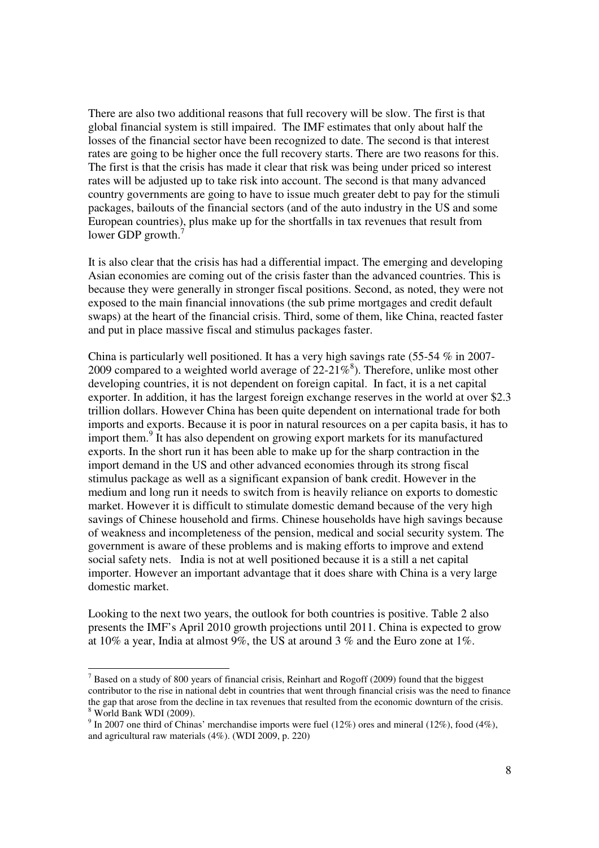There are also two additional reasons that full recovery will be slow. The first is that global financial system is still impaired. The IMF estimates that only about half the losses of the financial sector have been recognized to date. The second is that interest rates are going to be higher once the full recovery starts. There are two reasons for this. The first is that the crisis has made it clear that risk was being under priced so interest rates will be adjusted up to take risk into account. The second is that many advanced country governments are going to have to issue much greater debt to pay for the stimuli packages, bailouts of the financial sectors (and of the auto industry in the US and some European countries), plus make up for the shortfalls in tax revenues that result from lower GDP growth.<sup>7</sup>

It is also clear that the crisis has had a differential impact. The emerging and developing Asian economies are coming out of the crisis faster than the advanced countries. This is because they were generally in stronger fiscal positions. Second, as noted, they were not exposed to the main financial innovations (the sub prime mortgages and credit default swaps) at the heart of the financial crisis. Third, some of them, like China, reacted faster and put in place massive fiscal and stimulus packages faster.

China is particularly well positioned. It has a very high savings rate (55-54 % in 2007- 2009 compared to a weighted world average of  $22{\text -}21\%$ <sup>8</sup>). Therefore, unlike most other developing countries, it is not dependent on foreign capital. In fact, it is a net capital exporter. In addition, it has the largest foreign exchange reserves in the world at over \$2.3 trillion dollars. However China has been quite dependent on international trade for both imports and exports. Because it is poor in natural resources on a per capita basis, it has to import them.<sup>9</sup> It has also dependent on growing export markets for its manufactured exports. In the short run it has been able to make up for the sharp contraction in the import demand in the US and other advanced economies through its strong fiscal stimulus package as well as a significant expansion of bank credit. However in the medium and long run it needs to switch from is heavily reliance on exports to domestic market. However it is difficult to stimulate domestic demand because of the very high savings of Chinese household and firms. Chinese households have high savings because of weakness and incompleteness of the pension, medical and social security system. The government is aware of these problems and is making efforts to improve and extend social safety nets. India is not at well positioned because it is a still a net capital importer. However an important advantage that it does share with China is a very large domestic market.

Looking to the next two years, the outlook for both countries is positive. Table 2 also presents the IMF's April 2010 growth projections until 2011. China is expected to grow at 10% a year, India at almost 9%, the US at around 3 % and the Euro zone at 1%.

 $^7$  Based on a study of 800 years of financial crisis, Reinhart and Rogoff (2009) found that the biggest contributor to the rise in national debt in countries that went through financial crisis was the need to finance the gap that arose from the decline in tax revenues that resulted from the economic downturn of the crisis. 8 World Bank WDI (2009).

<sup>&</sup>lt;sup>9</sup> In 2007 one third of Chinas' merchandise imports were fuel (12%) ores and mineral (12%), food (4%), and agricultural raw materials (4%). (WDI 2009, p. 220)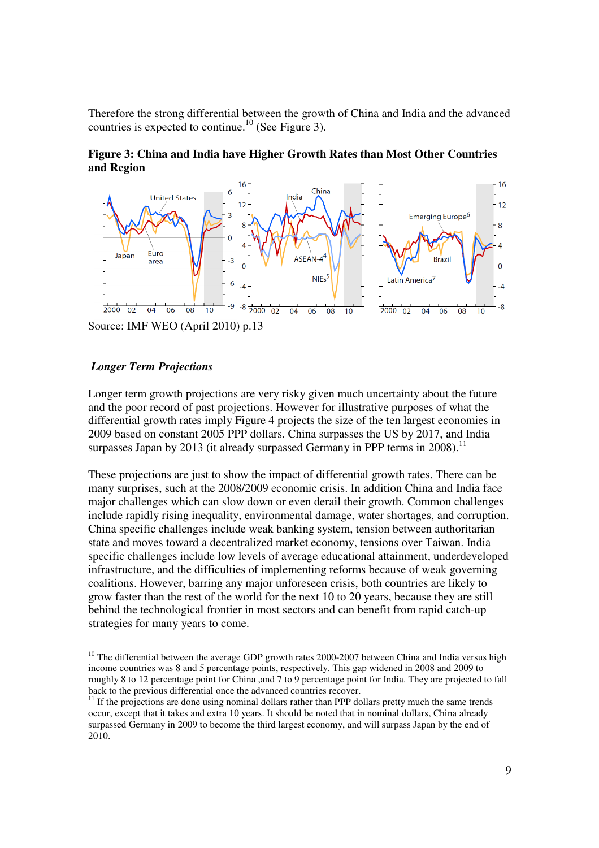Therefore the strong differential between the growth of China and India and the advanced countries is expected to continue.<sup>10</sup> (See Figure 3).



**Figure 3: China and India have Higher Growth Rates than Most Other Countries and Region** 

 Source: IMF WEO (April 2010) p.13

## *Longer Term Projections*

<u>.</u>

Longer term growth projections are very risky given much uncertainty about the future and the poor record of past projections. However for illustrative purposes of what the differential growth rates imply Figure 4 projects the size of the ten largest economies in 2009 based on constant 2005 PPP dollars. China surpasses the US by 2017, and India surpasses Japan by 2013 (it already surpassed Germany in PPP terms in 2008).<sup>11</sup>

These projections are just to show the impact of differential growth rates. There can be many surprises, such at the 2008/2009 economic crisis. In addition China and India face major challenges which can slow down or even derail their growth. Common challenges include rapidly rising inequality, environmental damage, water shortages, and corruption. China specific challenges include weak banking system, tension between authoritarian state and moves toward a decentralized market economy, tensions over Taiwan. India specific challenges include low levels of average educational attainment, underdeveloped infrastructure, and the difficulties of implementing reforms because of weak governing coalitions. However, barring any major unforeseen crisis, both countries are likely to grow faster than the rest of the world for the next 10 to 20 years, because they are still behind the technological frontier in most sectors and can benefit from rapid catch-up strategies for many years to come.

 $10$  The differential between the average GDP growth rates 2000-2007 between China and India versus high income countries was 8 and 5 percentage points, respectively. This gap widened in 2008 and 2009 to roughly 8 to 12 percentage point for China ,and 7 to 9 percentage point for India. They are projected to fall back to the previous differential once the advanced countries recover.

<sup>&</sup>lt;sup>11</sup> If the projections are done using nominal dollars rather than PPP dollars pretty much the same trends occur, except that it takes and extra 10 years. It should be noted that in nominal dollars, China already surpassed Germany in 2009 to become the third largest economy, and will surpass Japan by the end of 2010.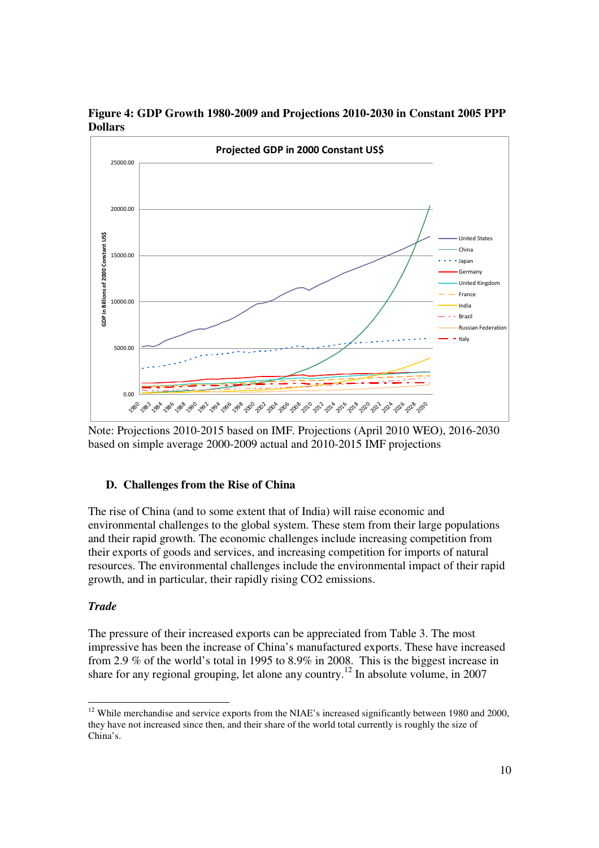

**Figure 4: GDP Growth 1980-2009 and Projections 2010-2030 in Constant 2005 PPP Dollars** 

Note: Projections 2010-2015 based on IMF. Projections (April 2010 WEO), 2016-2030 based on simple average 2000-2009 actual and 2010-2015 IMF projections

## **D. Challenges from the Rise of China**

The rise of China (and to some extent that of India) will raise economic and environmental challenges to the global system. These stem from their large populations and their rapid growth. The economic challenges include increasing competition from their exports of goods and services, and increasing competition for imports of natural resources. The environmental challenges include the environmental impact of their rapid growth, and in particular, their rapidly rising CO2 emissions.

## *Trade*

The pressure of their increased exports can be appreciated from Table 3. The most impressive has been the increase of China's manufactured exports. These have increased from 2.9 % of the world's total in 1995 to 8.9% in 2008. This is the biggest increase in share for any regional grouping, let alone any country.<sup>12</sup> In absolute volume, in 2007

<sup>-</sup> $12$  While merchandise and service exports from the NIAE's increased significantly between 1980 and 2000, they have not increased since then, and their share of the world total currently is roughly the size of China's.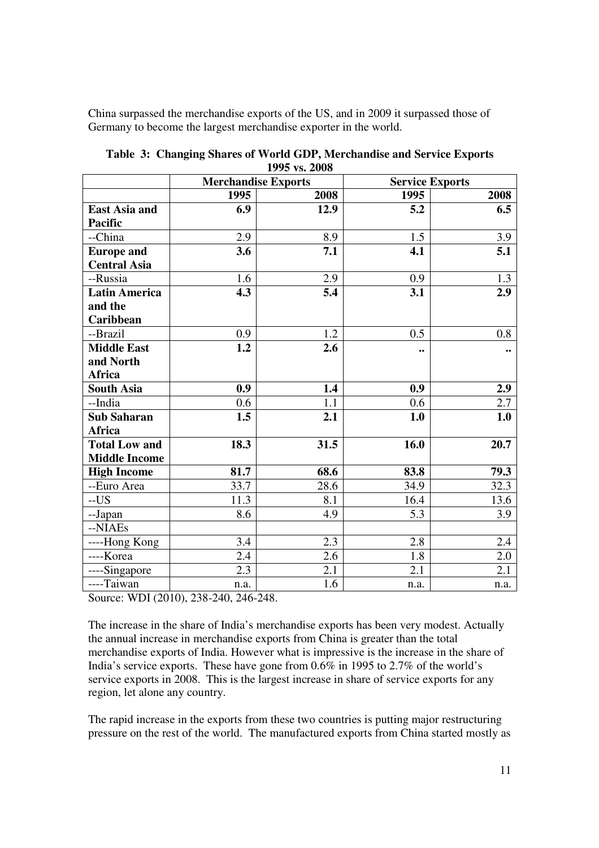China surpassed the merchandise exports of the US, and in 2009 it surpassed those of Germany to become the largest merchandise exporter in the world.

|                      | <b>Merchandise Exports</b> | $1770$ 13. $2000$ | <b>Service Exports</b> |                      |  |  |
|----------------------|----------------------------|-------------------|------------------------|----------------------|--|--|
|                      | 1995                       | 2008              | 1995                   | 2008                 |  |  |
| <b>East Asia and</b> | 6.9                        | 12.9              | 5.2                    | 6.5                  |  |  |
| <b>Pacific</b>       |                            |                   |                        |                      |  |  |
| --China              | 2.9                        | 8.9               | 1.5                    | 3.9                  |  |  |
| <b>Europe and</b>    | 3.6                        | 7.1               | 4.1                    | 5.1                  |  |  |
| <b>Central Asia</b>  |                            |                   |                        |                      |  |  |
| --Russia             | 1.6                        | 2.9               | 0.9                    | 1.3                  |  |  |
| <b>Latin America</b> | 4.3                        | 5.4               | 3.1                    | 2.9                  |  |  |
| and the              |                            |                   |                        |                      |  |  |
| Caribbean            |                            |                   |                        |                      |  |  |
| --Brazil             | 0.9                        | 1.2               | 0.5                    | 0.8                  |  |  |
| <b>Middle East</b>   | 1.2                        | 2.6               |                        | $\ddot{\phantom{0}}$ |  |  |
| and North            |                            |                   |                        |                      |  |  |
| <b>Africa</b>        |                            |                   |                        |                      |  |  |
| <b>South Asia</b>    | 0.9                        | 1.4               | 0.9                    | 2.9                  |  |  |
| --India              | 0.6                        | 1.1               | 0.6                    | 2.7                  |  |  |
| <b>Sub Saharan</b>   | 1.5                        | 2.1               | 1.0                    | 1.0                  |  |  |
| Africa               |                            |                   |                        |                      |  |  |
| <b>Total Low and</b> | 18.3                       | 31.5              | 16.0                   | 20.7                 |  |  |
| <b>Middle Income</b> |                            |                   |                        |                      |  |  |
| <b>High Income</b>   | 81.7                       | 68.6              | 83.8                   | 79.3                 |  |  |
| --Euro Area          | 33.7                       | 28.6              | 34.9                   | 32.3                 |  |  |
| $-US$                | 11.3                       | 8.1               | 16.4                   | 13.6                 |  |  |
| --Japan              | 8.6                        | 4.9               | 5.3                    | 3.9                  |  |  |
| --NIAEs              |                            |                   |                        |                      |  |  |
| ----Hong Kong        | 3.4                        | 2.3               | 2.8                    | 2.4                  |  |  |
| ---Korea             | 2.4                        | 2.6               | 1.8                    | 2.0                  |  |  |
| ----Singapore        | 2.3                        | 2.1               | 2.1                    | 2.1                  |  |  |
| ----Taiwan           | n.a.                       | 1.6               | n.a.                   | n.a.                 |  |  |

**Table 3: Changing Shares of World GDP, Merchandise and Service Exports 1995 vs. 2008** 

Source: WDI (2010), 238-240, 246-248.

The increase in the share of India's merchandise exports has been very modest. Actually the annual increase in merchandise exports from China is greater than the total merchandise exports of India. However what is impressive is the increase in the share of India's service exports. These have gone from 0.6% in 1995 to 2.7% of the world's service exports in 2008. This is the largest increase in share of service exports for any region, let alone any country.

The rapid increase in the exports from these two countries is putting major restructuring pressure on the rest of the world. The manufactured exports from China started mostly as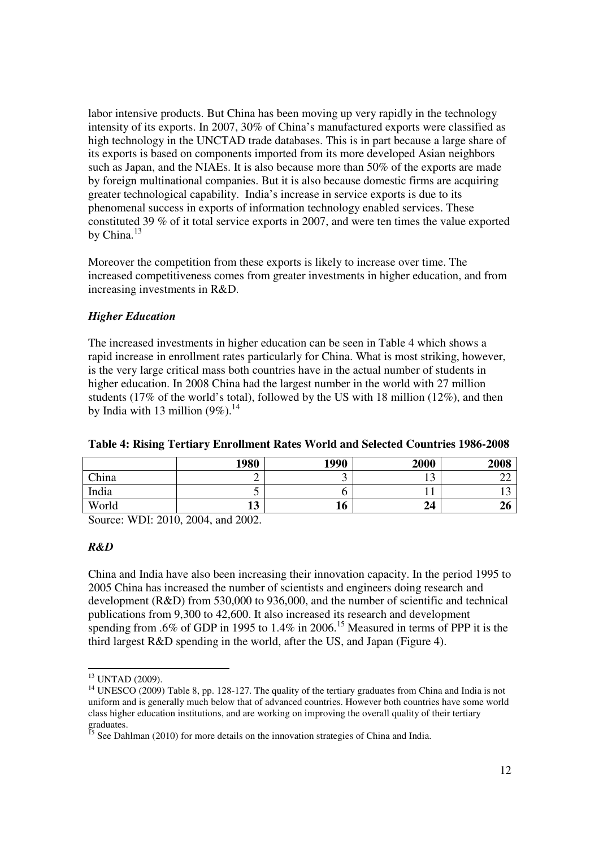labor intensive products. But China has been moving up very rapidly in the technology intensity of its exports. In 2007, 30% of China's manufactured exports were classified as high technology in the UNCTAD trade databases. This is in part because a large share of its exports is based on components imported from its more developed Asian neighbors such as Japan, and the NIAEs. It is also because more than 50% of the exports are made by foreign multinational companies. But it is also because domestic firms are acquiring greater technological capability. India's increase in service exports is due to its phenomenal success in exports of information technology enabled services. These constituted 39 % of it total service exports in 2007, and were ten times the value exported by China.<sup>13</sup>

Moreover the competition from these exports is likely to increase over time. The increased competitiveness comes from greater investments in higher education, and from increasing investments in R&D.

# *Higher Education*

The increased investments in higher education can be seen in Table 4 which shows a rapid increase in enrollment rates particularly for China. What is most striking, however, is the very large critical mass both countries have in the actual number of students in higher education. In 2008 China had the largest number in the world with 27 million students (17% of the world's total), followed by the US with 18 million (12%), and then by India with 13 million  $(9\%)$ <sup>14</sup>

|       | 1980 | 1990 | 2000   | 2008        |
|-------|------|------|--------|-------------|
| China | ↩    |      | $\sim$ | $\sim$<br>∸ |
| India |      |      |        |             |
| World | IJ   | 16   | 24     | 20          |

**Table 4: Rising Tertiary Enrollment Rates World and Selected Countries 1986-2008** 

Source: WDI: 2010, 2004, and 2002.

## *R&D*

China and India have also been increasing their innovation capacity. In the period 1995 to 2005 China has increased the number of scientists and engineers doing research and development (R&D) from 530,000 to 936,000, and the number of scientific and technical publications from 9,300 to 42,600. It also increased its research and development spending from .6% of GDP in 1995 to 1.4% in 2006.<sup>15</sup> Measured in terms of PPP it is the third largest R&D spending in the world, after the US, and Japan (Figure 4).

<sup>-</sup><sup>13</sup> UNTAD (2009).

<sup>&</sup>lt;sup>14</sup> UNESCO (2009) Table 8, pp. 128-127. The quality of the tertiary graduates from China and India is not uniform and is generally much below that of advanced countries. However both countries have some world class higher education institutions, and are working on improving the overall quality of their tertiary graduates.

<sup>&</sup>lt;sup>15</sup> See Dahlman (2010) for more details on the innovation strategies of China and India.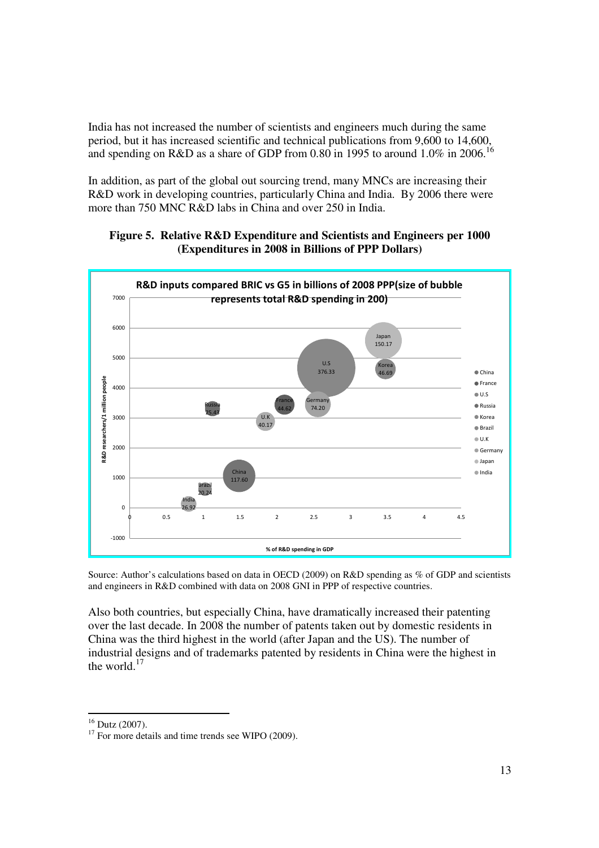India has not increased the number of scientists and engineers much during the same period, but it has increased scientific and technical publications from 9,600 to 14,600, and spending on R&D as a share of GDP from 0.80 in 1995 to around 1.0% in 2006.<sup>16</sup>

In addition, as part of the global out sourcing trend, many MNCs are increasing their R&D work in developing countries, particularly China and India. By 2006 there were more than 750 MNC R&D labs in China and over 250 in India.



# **Figure 5. Relative R&D Expenditure and Scientists and Engineers per 1000 (Expenditures in 2008 in Billions of PPP Dollars)**

Source: Author's calculations based on data in OECD (2009) on R&D spending as % of GDP and scientists and engineers in R&D combined with data on 2008 GNI in PPP of respective countries.

Also both countries, but especially China, have dramatically increased their patenting over the last decade. In 2008 the number of patents taken out by domestic residents in China was the third highest in the world (after Japan and the US). The number of industrial designs and of trademarks patented by residents in China were the highest in the world. $17$ 

<sup>-</sup> $16$  Dutz (2007).

 $17$  For more details and time trends see WIPO (2009).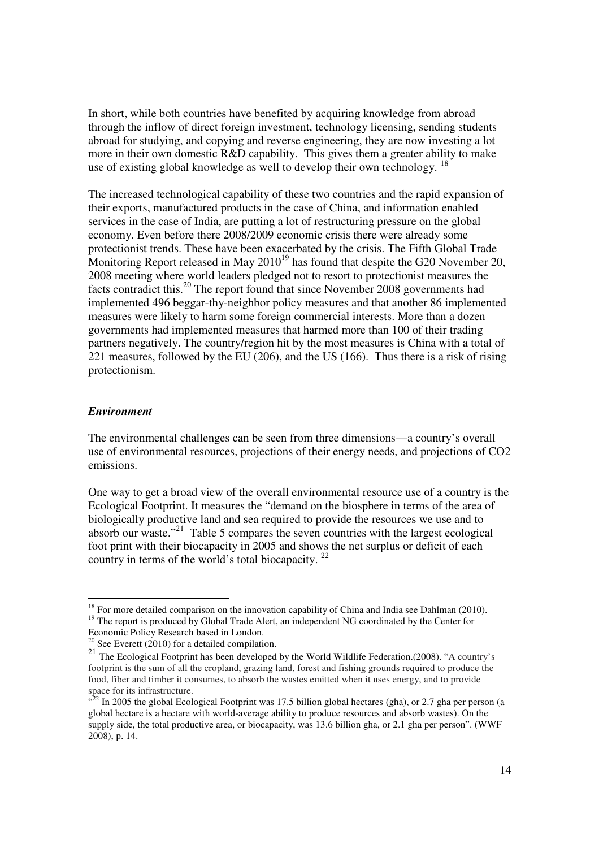In short, while both countries have benefited by acquiring knowledge from abroad through the inflow of direct foreign investment, technology licensing, sending students abroad for studying, and copying and reverse engineering, they are now investing a lot more in their own domestic R&D capability. This gives them a greater ability to make use of existing global knowledge as well to develop their own technology.  $^{18}$ 

The increased technological capability of these two countries and the rapid expansion of their exports, manufactured products in the case of China, and information enabled services in the case of India, are putting a lot of restructuring pressure on the global economy. Even before there 2008/2009 economic crisis there were already some protectionist trends. These have been exacerbated by the crisis. The Fifth Global Trade Monitoring Report released in May  $2010^{19}$  has found that despite the G20 November 20, 2008 meeting where world leaders pledged not to resort to protectionist measures the facts contradict this.<sup>20</sup> The report found that since November 2008 governments had implemented 496 beggar-thy-neighbor policy measures and that another 86 implemented measures were likely to harm some foreign commercial interests. More than a dozen governments had implemented measures that harmed more than 100 of their trading partners negatively. The country/region hit by the most measures is China with a total of 221 measures, followed by the EU (206), and the US (166). Thus there is a risk of rising protectionism.

#### *Environment*

-

The environmental challenges can be seen from three dimensions—a country's overall use of environmental resources, projections of their energy needs, and projections of CO2 emissions.

One way to get a broad view of the overall environmental resource use of a country is the Ecological Footprint. It measures the "demand on the biosphere in terms of the area of biologically productive land and sea required to provide the resources we use and to absorb our waste."<sup>21</sup> Table 5 compares the seven countries with the largest ecological foot print with their biocapacity in 2005 and shows the net surplus or deficit of each country in terms of the world's total biocapacity.  $22$ 

 $18$  For more detailed comparison on the innovation capability of China and India see Dahlman (2010). <sup>19</sup> The report is produced by Global Trade Alert, an independent NG coordinated by the Center for

Economic Policy Research based in London.

 $20$  See Everett (2010) for a detailed compilation.

<sup>&</sup>lt;sup>21</sup> The Ecological Footprint has been developed by the World Wildlife Federation.(2008). "A country's footprint is the sum of all the cropland, grazing land, forest and fishing grounds required to produce the food, fiber and timber it consumes, to absorb the wastes emitted when it uses energy, and to provide space for its infrastructure.

<sup>&</sup>quot; <sup>2</sup> In 2005 the global Ecological Footprint was 17.5 billion global hectares (gha), or 2.7 gha per person (a global hectare is a hectare with world-average ability to produce resources and absorb wastes). On the supply side, the total productive area, or biocapacity, was 13.6 billion gha, or 2.1 gha per person". (WWF 2008), p. 14.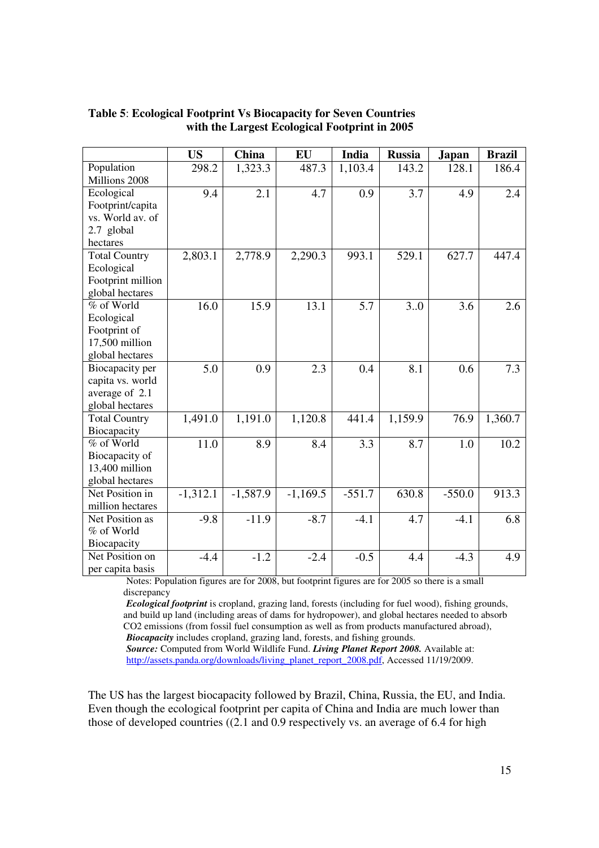|                      | <b>US</b>  | China      | EU         | <b>India</b> | <b>Russia</b> | <b>Japan</b> | <b>Brazil</b> |
|----------------------|------------|------------|------------|--------------|---------------|--------------|---------------|
| Population           | 298.2      | 1,323.3    | 487.3      | 1,103.4      | 143.2         | 128.1        | 186.4         |
| Millions 2008        |            |            |            |              |               |              |               |
| Ecological           | 9.4        | 2.1        | 4.7        | 0.9          | 3.7           | 4.9          | 2.4           |
| Footprint/capita     |            |            |            |              |               |              |               |
| vs. World av. of     |            |            |            |              |               |              |               |
| 2.7 global           |            |            |            |              |               |              |               |
| hectares             |            |            |            |              |               |              |               |
| <b>Total Country</b> | 2,803.1    | 2,778.9    | 2,290.3    | 993.1        | 529.1         | 627.7        | 447.4         |
| Ecological           |            |            |            |              |               |              |               |
| Footprint million    |            |            |            |              |               |              |               |
| global hectares      |            |            |            |              |               |              |               |
| % of World           | 16.0       | 15.9       | 13.1       | 5.7          | 3.0           | 3.6          | 2.6           |
| Ecological           |            |            |            |              |               |              |               |
| Footprint of         |            |            |            |              |               |              |               |
| 17,500 million       |            |            |            |              |               |              |               |
| global hectares      |            |            |            |              |               |              |               |
| Biocapacity per      | 5.0        | 0.9        | 2.3        | 0.4          | 8.1           | 0.6          | 7.3           |
| capita vs. world     |            |            |            |              |               |              |               |
| average of 2.1       |            |            |            |              |               |              |               |
| global hectares      |            |            |            |              |               |              |               |
| <b>Total Country</b> | 1,491.0    | 1,191.0    | 1,120.8    | 441.4        | 1,159.9       | 76.9         | 1,360.7       |
| Biocapacity          |            |            |            |              |               |              |               |
| % of World           | 11.0       | 8.9        | 8.4        | 3.3          | 8.7           | 1.0          | 10.2          |
| Biocapacity of       |            |            |            |              |               |              |               |
| 13,400 million       |            |            |            |              |               |              |               |
| global hectares      |            |            |            |              |               |              |               |
| Net Position in      | $-1,312.1$ | $-1,587.9$ | $-1,169.5$ | $-551.7$     | 630.8         | $-550.0$     | 913.3         |
| million hectares     |            |            |            |              |               |              |               |
| Net Position as      | $-9.8$     | $-11.9$    | $-8.7$     | $-4.1$       | 4.7           | $-4.1$       | 6.8           |
| % of World           |            |            |            |              |               |              |               |
| Biocapacity          |            |            |            |              |               |              |               |
| Net Position on      | $-4.4$     | $-1.2$     | $-2.4$     | $-0.5$       | 4.4           | $-4.3$       | 4.9           |
| per capita basis     |            |            |            |              |               |              |               |

## **Table 5**: **Ecological Footprint Vs Biocapacity for Seven Countries with the Largest Ecological Footprint in 2005**

Notes: Population figures are for 2008, but footprint figures are for 2005 so there is a small discrepancy

*Ecological footprint* is cropland, grazing land, forests (including for fuel wood), fishing grounds, and build up land (including areas of dams for hydropower), and global hectares needed to absorb CO2 emissions (from fossil fuel consumption as well as from products manufactured abroad), *Biocapacity* includes cropland, grazing land, forests, and fishing grounds. *Source:* Computed from World Wildlife Fund. *Living Planet Report 2008.* Available at:

http://assets.panda.org/downloads/living\_planet\_report\_2008.pdf, Accessed 11/19/2009.

The US has the largest biocapacity followed by Brazil, China, Russia, the EU, and India. Even though the ecological footprint per capita of China and India are much lower than those of developed countries  $((2.1 \text{ and } 0.9 \text{ respectively vs. an average of } 6.4 \text{ for high})$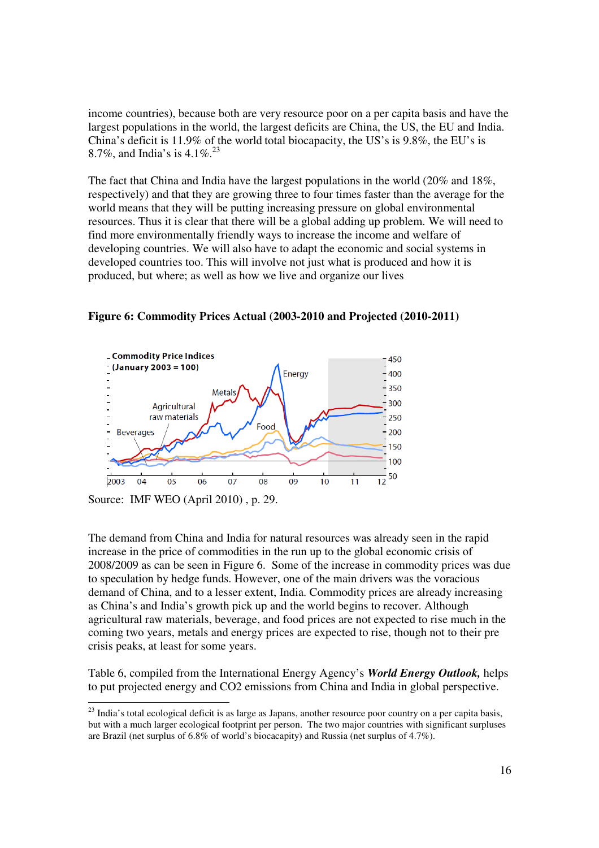income countries), because both are very resource poor on a per capita basis and have the largest populations in the world, the largest deficits are China, the US, the EU and India. China's deficit is 11.9% of the world total biocapacity, the US's is 9.8%, the EU's is 8.7%, and India's is  $4.1\%^{23}$ 

The fact that China and India have the largest populations in the world (20% and 18%, respectively) and that they are growing three to four times faster than the average for the world means that they will be putting increasing pressure on global environmental resources. Thus it is clear that there will be a global adding up problem. We will need to find more environmentally friendly ways to increase the income and welfare of developing countries. We will also have to adapt the economic and social systems in developed countries too. This will involve not just what is produced and how it is produced, but where; as well as how we live and organize our lives

**Figure 6: Commodity Prices Actual (2003-2010 and Projected (2010-2011)** 



Source: IMF WEO (April 2010) , p. 29.

-

The demand from China and India for natural resources was already seen in the rapid increase in the price of commodities in the run up to the global economic crisis of 2008/2009 as can be seen in Figure 6. Some of the increase in commodity prices was due to speculation by hedge funds. However, one of the main drivers was the voracious demand of China, and to a lesser extent, India. Commodity prices are already increasing as China's and India's growth pick up and the world begins to recover. Although agricultural raw materials, beverage, and food prices are not expected to rise much in the coming two years, metals and energy prices are expected to rise, though not to their pre crisis peaks, at least for some years.

Table 6, compiled from the International Energy Agency's *World Energy Outlook,* helps to put projected energy and CO2 emissions from China and India in global perspective.

<sup>&</sup>lt;sup>23</sup> India's total ecological deficit is as large as Japans, another resource poor country on a per capita basis, but with a much larger ecological footprint per person. The two major countries with significant surpluses are Brazil (net surplus of 6.8% of world's biocacapity) and Russia (net surplus of 4.7%).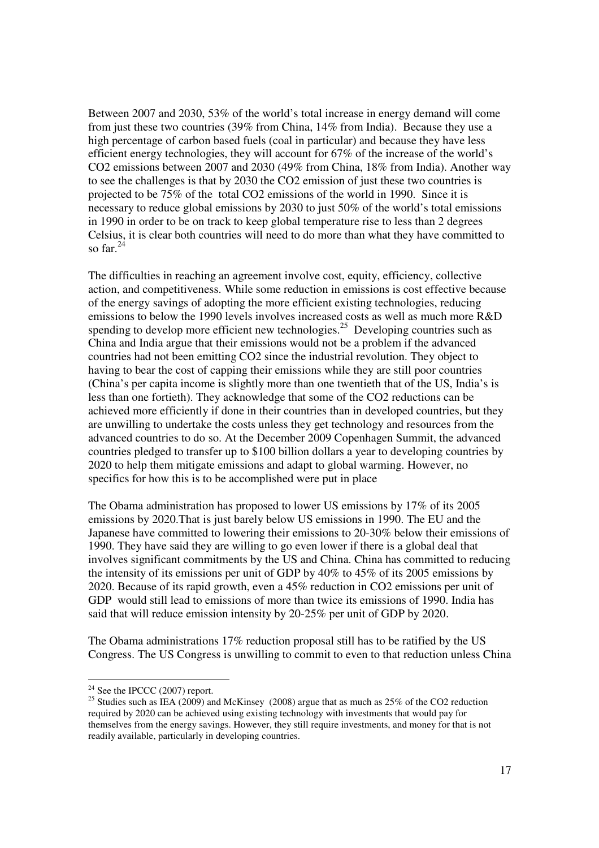Between 2007 and 2030, 53% of the world's total increase in energy demand will come from just these two countries (39% from China, 14% from India). Because they use a high percentage of carbon based fuels (coal in particular) and because they have less efficient energy technologies, they will account for 67% of the increase of the world's CO2 emissions between 2007 and 2030 (49% from China, 18% from India). Another way to see the challenges is that by 2030 the CO2 emission of just these two countries is projected to be 75% of the total CO2 emissions of the world in 1990. Since it is necessary to reduce global emissions by 2030 to just 50% of the world's total emissions in 1990 in order to be on track to keep global temperature rise to less than 2 degrees Celsius, it is clear both countries will need to do more than what they have committed to so far. $24$ 

The difficulties in reaching an agreement involve cost, equity, efficiency, collective action, and competitiveness. While some reduction in emissions is cost effective because of the energy savings of adopting the more efficient existing technologies, reducing emissions to below the 1990 levels involves increased costs as well as much more R&D spending to develop more efficient new technologies.<sup>25</sup> Developing countries such as China and India argue that their emissions would not be a problem if the advanced countries had not been emitting CO2 since the industrial revolution. They object to having to bear the cost of capping their emissions while they are still poor countries (China's per capita income is slightly more than one twentieth that of the US, India's is less than one fortieth). They acknowledge that some of the CO2 reductions can be achieved more efficiently if done in their countries than in developed countries, but they are unwilling to undertake the costs unless they get technology and resources from the advanced countries to do so. At the December 2009 Copenhagen Summit, the advanced countries pledged to transfer up to \$100 billion dollars a year to developing countries by 2020 to help them mitigate emissions and adapt to global warming. However, no specifics for how this is to be accomplished were put in place

The Obama administration has proposed to lower US emissions by 17% of its 2005 emissions by 2020.That is just barely below US emissions in 1990. The EU and the Japanese have committed to lowering their emissions to 20-30% below their emissions of 1990. They have said they are willing to go even lower if there is a global deal that involves significant commitments by the US and China. China has committed to reducing the intensity of its emissions per unit of GDP by 40% to 45% of its 2005 emissions by 2020. Because of its rapid growth, even a 45% reduction in CO2 emissions per unit of GDP would still lead to emissions of more than twice its emissions of 1990. India has said that will reduce emission intensity by 20-25% per unit of GDP by 2020.

The Obama administrations 17% reduction proposal still has to be ratified by the US Congress. The US Congress is unwilling to commit to even to that reduction unless China

 $24$  See the IPCCC (2007) report.

<sup>&</sup>lt;sup>25</sup> Studies such as IEA (2009) and McKinsey (2008) argue that as much as  $25\%$  of the CO2 reduction required by 2020 can be achieved using existing technology with investments that would pay for themselves from the energy savings. However, they still require investments, and money for that is not readily available, particularly in developing countries.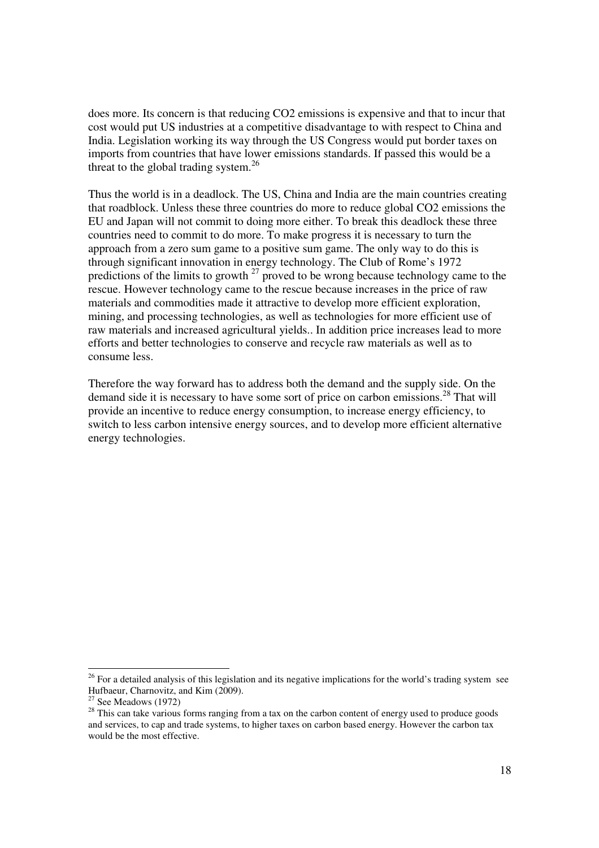does more. Its concern is that reducing CO2 emissions is expensive and that to incur that cost would put US industries at a competitive disadvantage to with respect to China and India. Legislation working its way through the US Congress would put border taxes on imports from countries that have lower emissions standards. If passed this would be a threat to the global trading system.<sup>26</sup>

Thus the world is in a deadlock. The US, China and India are the main countries creating that roadblock. Unless these three countries do more to reduce global CO2 emissions the EU and Japan will not commit to doing more either. To break this deadlock these three countries need to commit to do more. To make progress it is necessary to turn the approach from a zero sum game to a positive sum game. The only way to do this is through significant innovation in energy technology. The Club of Rome's 1972 predictions of the limits to growth  $27$  proved to be wrong because technology came to the rescue. However technology came to the rescue because increases in the price of raw materials and commodities made it attractive to develop more efficient exploration, mining, and processing technologies, as well as technologies for more efficient use of raw materials and increased agricultural yields.. In addition price increases lead to more efforts and better technologies to conserve and recycle raw materials as well as to consume less.

Therefore the way forward has to address both the demand and the supply side. On the demand side it is necessary to have some sort of price on carbon emissions.<sup>28</sup> That will provide an incentive to reduce energy consumption, to increase energy efficiency, to switch to less carbon intensive energy sources, and to develop more efficient alternative energy technologies.

<sup>&</sup>lt;sup>26</sup> For a detailed analysis of this legislation and its negative implications for the world's trading system see Hufbaeur, Charnovitz, and Kim (2009).

 $27$  See Meadows (1972)

<sup>&</sup>lt;sup>28</sup> This can take various forms ranging from a tax on the carbon content of energy used to produce goods and services, to cap and trade systems, to higher taxes on carbon based energy. However the carbon tax would be the most effective.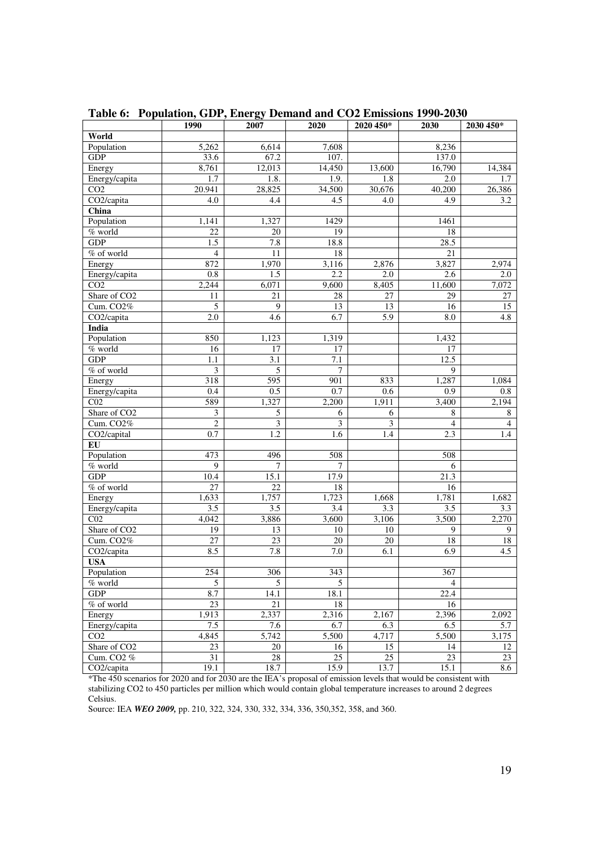|                          | 1990                    | 2007             | 2020            | 2020 450* | 2030           | 2030 450*      |
|--------------------------|-------------------------|------------------|-----------------|-----------|----------------|----------------|
| World                    |                         |                  |                 |           |                |                |
| Population               | 5,262                   | 6,614            | 7,608           |           | 8,236          |                |
| GDP                      | 33.6                    | 67.2             | 107.            |           | 137.0          |                |
| Energy                   | 8,761                   | 12,013           | 14,450          | 13,600    | 16,790         | 14,384         |
| Energy/capita            | 1.7                     | 1.8.             | 1.9.            | 1.8       | 2.0            | 1.7            |
| CO <sub>2</sub>          | 20.941                  | 28,825           | 34,500          | 30,676    | 40,200         | 26,386         |
| CO <sub>2</sub> /capita  | 4.0                     | 4.4              | 4.5             | 4.0       | 4.9            | 3.2            |
| China                    |                         |                  |                 |           |                |                |
| Population               | 1,141                   | 1,327            | 1429            |           | 1461           |                |
| $%$ world                | 22                      | 20               | 19              |           | 18             |                |
| GDP                      | 1.5                     | 7.8              | 18.8            |           | 28.5           |                |
| % of world               | $\overline{4}$          | 11               | 18              |           | 21             |                |
| Energy                   | 872                     | 1,970            | 3,116           | 2,876     | 3,827          | 2,974          |
| Energy/capita            | 0.8                     | 1.5              | 2.2             | 2.0       | 2.6            | 2.0            |
| CO <sub>2</sub>          | 2,244                   | 6,071            | 9,600           | 8,405     | 11,600         | 7,072          |
| Share of CO <sub>2</sub> | 11                      | 21               | 28              | 27        | 29             | 27             |
| Cum. CO2%                | 5                       | 9                | 13              | 13        | 16             | 15             |
| CO <sub>2</sub> /capita  | 2.0                     | 4.6              | 6.7             | 5.9       | 8.0            | 4.8            |
| India                    |                         |                  |                 |           |                |                |
| Population               | 850                     | 1.123            | 1,319           |           | 1.432          |                |
| $%$ world                | 16                      | 17               | 17              |           | 17             |                |
| GDP                      | 1.1                     | 3.1              | 7.1             |           | 12.5           |                |
| $%$ of world             | $\mathfrak 3$           | $\sqrt{5}$       | $\tau$          |           | 9              |                |
| Energy                   | 318                     | $\frac{1}{595}$  | 901             | 833       | 1,287          | 1,084          |
| Energy/capita            | 0.4                     | 0.5              | 0.7             | 0.6       | 0.9            | 0.8            |
| C <sub>02</sub>          | 589                     | 1,327            | 2,200           | 1,911     | 3,400          | 2,194          |
| Share of CO <sub>2</sub> | $\mathfrak 3$           | $\sqrt{5}$       | 6               | 6         | 8              | 8              |
| Cum. CO <sub>2%</sub>    | $\overline{2}$          | 3                | $\mathfrak{Z}$  | 3         | $\overline{4}$ | $\overline{4}$ |
| CO <sub>2</sub> /capital | 0.7                     | $\overline{1.2}$ | 1.6             | 1.4       | 2.3            | 1.4            |
| EU                       |                         |                  |                 |           |                |                |
| Population               | 473                     | 496              | 508             |           | 508            |                |
| $\%$ world<br><b>GDP</b> | 9                       | 7                | 7               |           | 6              |                |
| % of world               | 10.4<br>$\overline{27}$ | 15.1<br>22       | 17.9<br>18      |           | 21.3<br>16     |                |
| Energy                   | 1,633                   | 1,757            | 1,723           | 1,668     | 1,781          | 1,682          |
| Energy/capita            | 3.5                     | 3.5              | 3.4             | 3.3       | 3.5            | 3.3            |
| CO <sub>2</sub>          | 4,042                   | 3,886            | 3,600           | 3,106     | 3,500          | 2,270          |
| Share of CO <sub>2</sub> | 19                      | 13               | 10              | 10        | 9              | 9              |
| Cum. CO2%                | 27                      | 23               | 20              | 20        | 18             | 18             |
| CO <sub>2</sub> /capita  | 8.5                     | 7.8              | 7.0             | 6.1       | 6.9            | 4.5            |
| <b>USA</b>               |                         |                  |                 |           |                |                |
| Population               | 254                     | 306              | 343             |           | 367            |                |
| % world                  | 5                       | 5                | 5               |           | $\overline{4}$ |                |
| <b>GDP</b>               | 8.7                     | 14.1             | 18.1            |           | 22.4           |                |
| % of world               | 23                      | 21               | 18              |           | 16             |                |
| Energy                   | 1,913                   | 2,337            | 2,316           | 2,167     | 2,396          | 2,092          |
| Energy/capita            | 7.5                     | 7.6              | 6.7             | 6.3       | 6.5            | 5.7            |
| CO <sub>2</sub>          | 4,845                   | 5,742            | 5,500           | 4,717     | 5,500          | 3,175          |
| Share of CO <sub>2</sub> | 23                      | 20               | 16              | 15        | 14             | 12             |
| Cum. CO <sub>2</sub> %   | 31                      | $28\,$           | $\overline{25}$ | $25\,$    | $23\,$         | 23             |
| CO <sub>2</sub> /capita  | 19.1                    | 18.7             | 15.9            | 13.7      | 15.1           | 8.6            |

**Table 6: Population, GDP, Energy Demand and CO2 Emissions 1990-2030** 

\*The 450 scenarios for 2020 and for 2030 are the IEA's proposal of emission levels that would be consistent with stabilizing CO2 to 450 particles per million which would contain global temperature increases to around 2 degrees Celsius.

Source: IEA *WEO 2009,* pp. 210, 322, 324, 330, 332, 334, 336, 350,352, 358, and 360.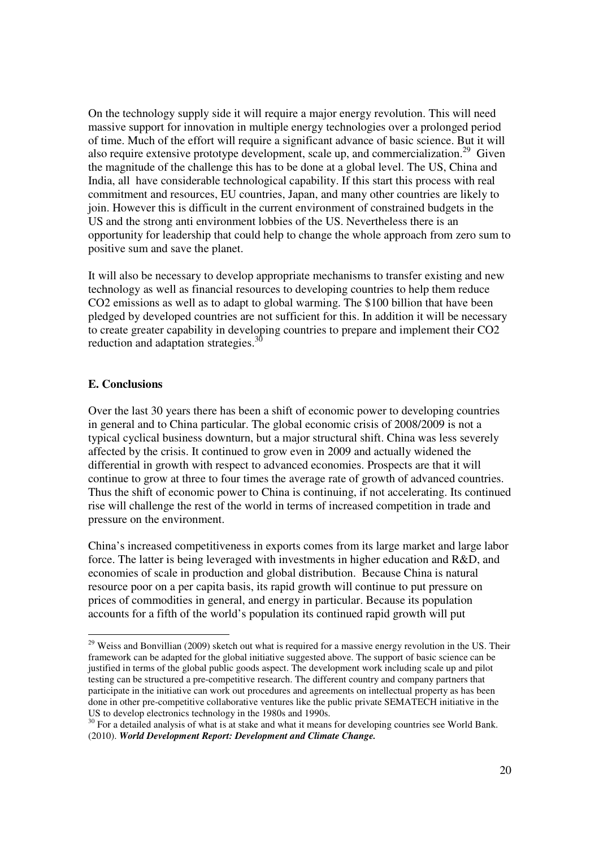On the technology supply side it will require a major energy revolution. This will need massive support for innovation in multiple energy technologies over a prolonged period of time. Much of the effort will require a significant advance of basic science. But it will also require extensive prototype development, scale up, and commercialization.<sup>29</sup> Given the magnitude of the challenge this has to be done at a global level. The US, China and India, all have considerable technological capability. If this start this process with real commitment and resources, EU countries, Japan, and many other countries are likely to join. However this is difficult in the current environment of constrained budgets in the US and the strong anti environment lobbies of the US. Nevertheless there is an opportunity for leadership that could help to change the whole approach from zero sum to positive sum and save the planet.

It will also be necessary to develop appropriate mechanisms to transfer existing and new technology as well as financial resources to developing countries to help them reduce CO2 emissions as well as to adapt to global warming. The \$100 billion that have been pledged by developed countries are not sufficient for this. In addition it will be necessary to create greater capability in developing countries to prepare and implement their CO2 reduction and adaptation strategies.<sup>30</sup>

## **E. Conclusions**

-

Over the last 30 years there has been a shift of economic power to developing countries in general and to China particular. The global economic crisis of 2008/2009 is not a typical cyclical business downturn, but a major structural shift. China was less severely affected by the crisis. It continued to grow even in 2009 and actually widened the differential in growth with respect to advanced economies. Prospects are that it will continue to grow at three to four times the average rate of growth of advanced countries. Thus the shift of economic power to China is continuing, if not accelerating. Its continued rise will challenge the rest of the world in terms of increased competition in trade and pressure on the environment.

China's increased competitiveness in exports comes from its large market and large labor force. The latter is being leveraged with investments in higher education and R&D, and economies of scale in production and global distribution. Because China is natural resource poor on a per capita basis, its rapid growth will continue to put pressure on prices of commodities in general, and energy in particular. Because its population accounts for a fifth of the world's population its continued rapid growth will put

 $29$  Weiss and Bonvillian (2009) sketch out what is required for a massive energy revolution in the US. Their framework can be adapted for the global initiative suggested above. The support of basic science can be justified in terms of the global public goods aspect. The development work including scale up and pilot testing can be structured a pre-competitive research. The different country and company partners that participate in the initiative can work out procedures and agreements on intellectual property as has been done in other pre-competitive collaborative ventures like the public private SEMATECH initiative in the US to develop electronics technology in the 1980s and 1990s.

 $30$  For a detailed analysis of what is at stake and what it means for developing countries see World Bank. (2010). *World Development Report: Development and Climate Change.*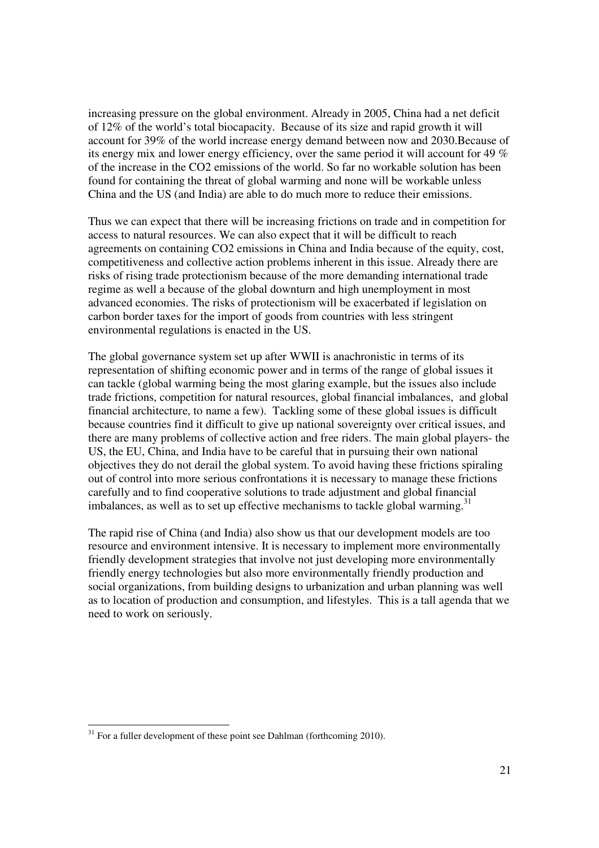increasing pressure on the global environment. Already in 2005, China had a net deficit of 12% of the world's total biocapacity. Because of its size and rapid growth it will account for 39% of the world increase energy demand between now and 2030.Because of its energy mix and lower energy efficiency, over the same period it will account for 49 % of the increase in the CO2 emissions of the world. So far no workable solution has been found for containing the threat of global warming and none will be workable unless China and the US (and India) are able to do much more to reduce their emissions.

Thus we can expect that there will be increasing frictions on trade and in competition for access to natural resources. We can also expect that it will be difficult to reach agreements on containing CO2 emissions in China and India because of the equity, cost, competitiveness and collective action problems inherent in this issue. Already there are risks of rising trade protectionism because of the more demanding international trade regime as well a because of the global downturn and high unemployment in most advanced economies. The risks of protectionism will be exacerbated if legislation on carbon border taxes for the import of goods from countries with less stringent environmental regulations is enacted in the US.

The global governance system set up after WWII is anachronistic in terms of its representation of shifting economic power and in terms of the range of global issues it can tackle (global warming being the most glaring example, but the issues also include trade frictions, competition for natural resources, global financial imbalances, and global financial architecture, to name a few). Tackling some of these global issues is difficult because countries find it difficult to give up national sovereignty over critical issues, and there are many problems of collective action and free riders. The main global players- the US, the EU, China, and India have to be careful that in pursuing their own national objectives they do not derail the global system. To avoid having these frictions spiraling out of control into more serious confrontations it is necessary to manage these frictions carefully and to find cooperative solutions to trade adjustment and global financial imbalances, as well as to set up effective mechanisms to tackle global warming.<sup>31</sup>

The rapid rise of China (and India) also show us that our development models are too resource and environment intensive. It is necessary to implement more environmentally friendly development strategies that involve not just developing more environmentally friendly energy technologies but also more environmentally friendly production and social organizations, from building designs to urbanization and urban planning was well as to location of production and consumption, and lifestyles. This is a tall agenda that we need to work on seriously.

 $31$  For a fuller development of these point see Dahlman (forthcoming 2010).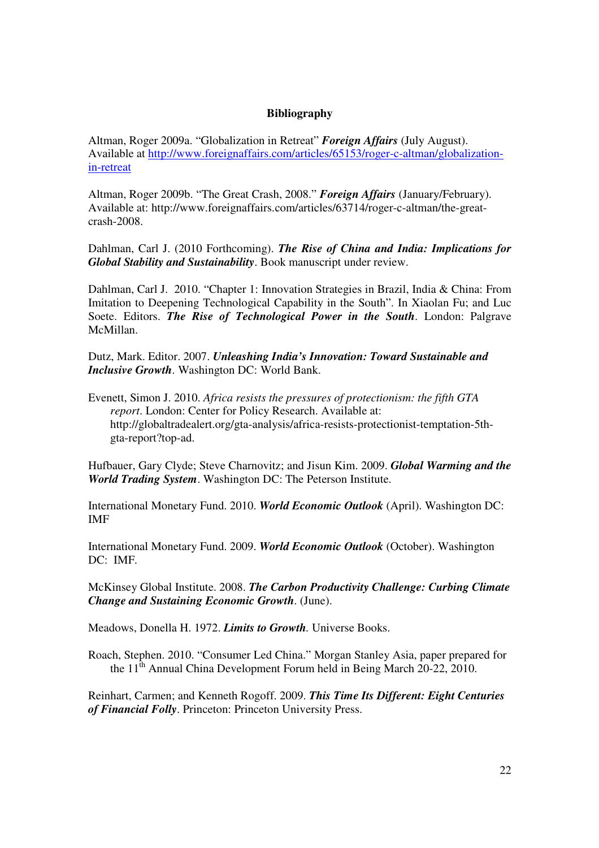#### **Bibliography**

Altman, Roger 2009a. "Globalization in Retreat" *Foreign Affairs* (July August). Available at http://www.foreignaffairs.com/articles/65153/roger-c-altman/globalizationin-retreat

Altman, Roger 2009b. "The Great Crash, 2008." *Foreign Affairs* (January/February). Available at: http://www.foreignaffairs.com/articles/63714/roger-c-altman/the-greatcrash-2008.

Dahlman, Carl J. (2010 Forthcoming). *The Rise of China and India: Implications for Global Stability and Sustainability*. Book manuscript under review.

Dahlman, Carl J. 2010. "Chapter 1: Innovation Strategies in Brazil, India & China: From Imitation to Deepening Technological Capability in the South". In Xiaolan Fu; and Luc Soete. Editors. *The Rise of Technological Power in the South*. London: Palgrave McMillan.

Dutz, Mark. Editor. 2007. *Unleashing India's Innovation: Toward Sustainable and Inclusive Growth*. Washington DC: World Bank.

Evenett, Simon J. 2010. *Africa resists the pressures of protectionism: the fifth GTA report*. London: Center for Policy Research. Available at: http://globaltradealert.org/gta-analysis/africa-resists-protectionist-temptation-5thgta-report?top-ad.

Hufbauer, Gary Clyde; Steve Charnovitz; and Jisun Kim. 2009. *Global Warming and the World Trading System*. Washington DC: The Peterson Institute.

International Monetary Fund. 2010. *World Economic Outlook* (April). Washington DC: IMF

International Monetary Fund. 2009. *World Economic Outlook* (October). Washington DC: IMF.

McKinsey Global Institute. 2008. *The Carbon Productivity Challenge: Curbing Climate Change and Sustaining Economic Growth*. (June).

Meadows, Donella H. 1972. *Limits to Growth.* Universe Books.

Roach, Stephen. 2010. "Consumer Led China." Morgan Stanley Asia, paper prepared for the 11<sup>th</sup> Annual China Development Forum held in Being March 20-22, 2010.

Reinhart, Carmen; and Kenneth Rogoff. 2009. *This Time Its Different: Eight Centuries of Financial Folly*. Princeton: Princeton University Press.